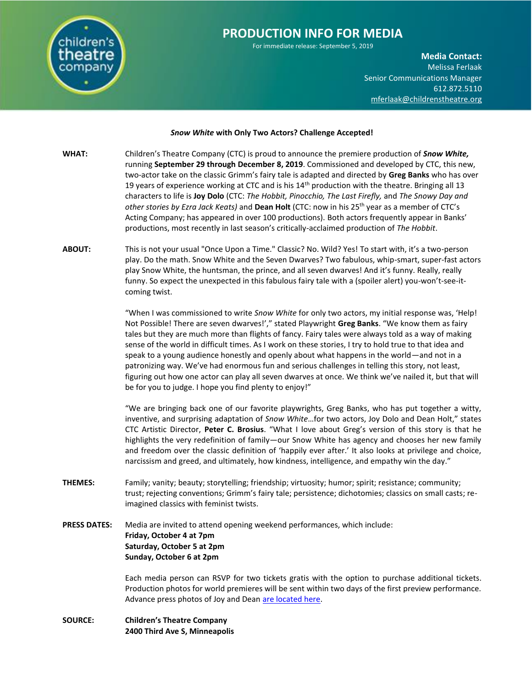

For immediate release: September 5, 2019

**Media Contact:**  Melissa Ferlaak Senior Communications Manager 612.872.5110 [mferlaak@childrenstheatre.org](mailto:mferlaak@childrenstheatre.org)

## *Snow White* **with Only Two Actors? Challenge Accepted!**

- **WHAT:** Children's Theatre Company (CTC) is proud to announce the premiere production of *Snow White,* running **September 29 through December 8, 2019**. Commissioned and developed by CTC, this new, two-actor take on the classic Grimm's fairy tale is adapted and directed by **Greg Banks** who has over 19 years of experience working at CTC and is his  $14<sup>th</sup>$  production with the theatre. Bringing all 13 characters to life is **Joy Dolo** (CTC: *The Hobbit, Pinocchio, The Last Firefly,* and *The Snowy Day and other stories by Ezra Jack Keats)* and **Dean Holt** (CTC: now in his 25th year as a member of CTC's Acting Company; has appeared in over 100 productions). Both actors frequently appear in Banks' productions, most recently in last season's critically-acclaimed production of *The Hobbit*.
- **ABOUT:** This is not your usual "Once Upon a Time." Classic? No. Wild? Yes! To start with, it's a two-person play. Do the math. Snow White and the Seven Dwarves? Two fabulous, whip-smart, super-fast actors play Snow White, the huntsman, the prince, and all seven dwarves! And it's funny. Really, really funny. So expect the unexpected in this fabulous fairy tale with a (spoiler alert) you-won't-see-itcoming twist.

"When I was commissioned to write *Snow White* for only two actors, my initial response was, 'Help! Not Possible! There are seven dwarves!'," stated Playwright **Greg Banks**. "We know them as fairy tales but they are much more than flights of fancy. Fairy tales were always told as a way of making sense of the world in difficult times. As I work on these stories, I try to hold true to that idea and speak to a young audience honestly and openly about what happens in the world—and not in a patronizing way. We've had enormous fun and serious challenges in telling this story, not least, figuring out how one actor can play all seven dwarves at once. We think we've nailed it, but that will be for you to judge. I hope you find plenty to enjoy!"

"We are bringing back one of our favorite playwrights, Greg Banks, who has put together a witty, inventive, and surprising adaptation of *Snow White*…for two actors, Joy Dolo and Dean Holt," states CTC Artistic Director, **Peter C. Brosius**. "What I love about Greg's version of this story is that he highlights the very redefinition of family—our Snow White has agency and chooses her new family and freedom over the classic definition of 'happily ever after.' It also looks at privilege and choice, narcissism and greed, and ultimately, how kindness, intelligence, and empathy win the day."

- **THEMES:** Family; vanity; beauty; storytelling; friendship; virtuosity; humor; spirit; resistance; community; trust; rejecting conventions; Grimm's fairy tale; persistence; dichotomies; classics on small casts; reimagined classics with feminist twists.
- **PRESS DATES:** Media are invited to attend opening weekend performances, which include: **Friday, October 4 at 7pm Saturday, October 5 at 2pm Sunday, October 6 at 2pm**

Each media person can RSVP for two tickets gratis with the option to purchase additional tickets. Production photos for world premieres will be sent within two days of the first preview performance. Advance press photos of Joy and Dean [are located here.](https://www.dropbox.com/sh/n30wycxspg8x6w7/AACoV9G_MZH64PnQa4oS3etTa?dl=0)

**SOURCE: Children's Theatre Company 2400 Third Ave S, Minneapolis**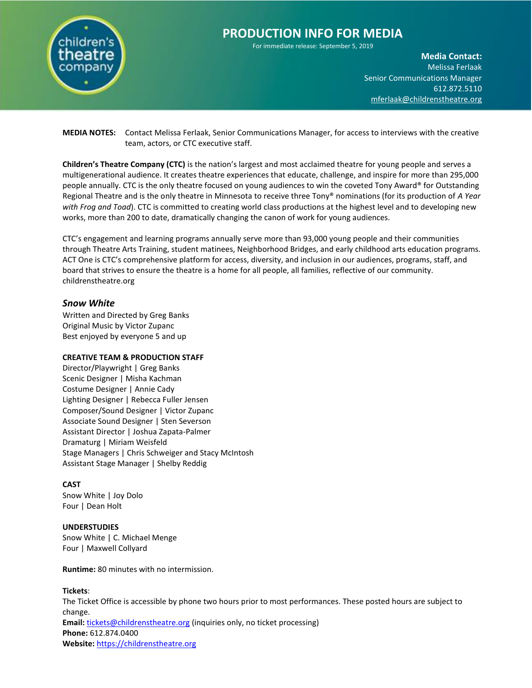

For immediate release: September 5, 2019

**Media Contact:**  Melissa Ferlaak Senior Communications Manager 612.872.5110 [mferlaak@childrenstheatre.org](mailto:mferlaak@childrenstheatre.org)

**MEDIA NOTES:** Contact Melissa Ferlaak, Senior Communications Manager, for access to interviews with the creative team, actors, or CTC executive staff.

**Children's Theatre Company (CTC)** is the nation's largest and most acclaimed theatre for young people and serves a multigenerational audience. It creates theatre experiences that educate, challenge, and inspire for more than 295,000 people annually. CTC is the only theatre focused on young audiences to win the coveted Tony Award® for Outstanding Regional Theatre and is the only theatre in Minnesota to receive three Tony® nominations (for its production of *A Year with Frog and Toad*). CTC is committed to creating world class productions at the highest level and to developing new works, more than 200 to date, dramatically changing the canon of work for young audiences.

CTC's engagement and learning programs annually serve more than 93,000 young people and their communities through Theatre Arts Training, student matinees, Neighborhood Bridges, and early childhood arts education programs. ACT One is CTC's comprehensive platform for access, diversity, and inclusion in our audiences, programs, staff, and board that strives to ensure the theatre is a home for all people, all families, reflective of our community. childrenstheatre.org

# *Snow White*

Written and Directed by Greg Banks Original Music by Victor Zupanc Best enjoyed by everyone 5 and up

# **CREATIVE TEAM & PRODUCTION STAFF**

Director/Playwright | Greg Banks Scenic Designer | Misha Kachman Costume Designer | Annie Cady Lighting Designer | Rebecca Fuller Jensen Composer/Sound Designer | Victor Zupanc Associate Sound Designer | Sten Severson Assistant Director | Joshua Zapata-Palmer Dramaturg | Miriam Weisfeld Stage Managers | Chris Schweiger and Stacy McIntosh Assistant Stage Manager | Shelby Reddig

# **CAST**

Snow White | Joy Dolo Four | Dean Holt

## **UNDERSTUDIES**

Snow White | C. Michael Menge Four | Maxwell Collyard

**Runtime:** 80 minutes with no intermission.

# **Tickets**:

The Ticket Office is accessible by phone two hours prior to most performances. These posted hours are subject to change. **Email:** [tickets@childrenstheatre.org](mailto:tickets@childrenstheatre.org) (inquiries only, no ticket processing) **Phone:** 612.874.0400 **Website:** [https://childrenstheatre.org](https://childrenstheatre.org/)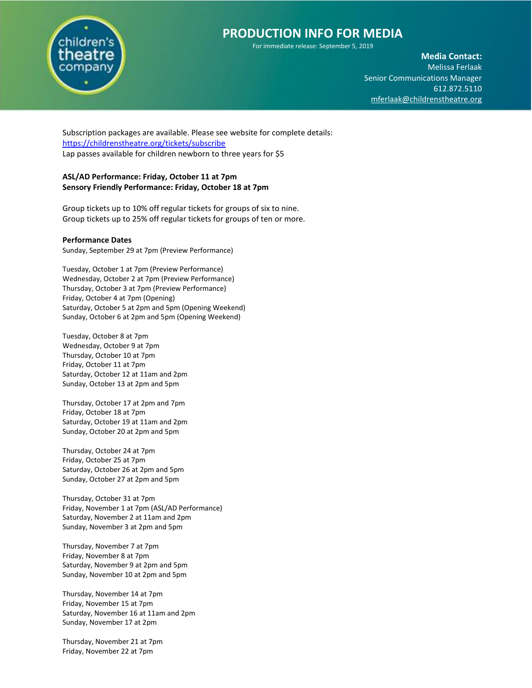

For immediate release: September 5, 2019

**Media Contact:**  Melissa Ferlaak Senior Communications Manager 612.872.5110 [mferlaak@childrenstheatre.org](mailto:mferlaak@childrenstheatre.org)

Subscription packages are available. Please see website for complete details: <https://childrenstheatre.org/tickets/subscribe> Lap passes available for children newborn to three years for \$5

# **ASL/AD Performance: Friday, October 11 at 7pm Sensory Friendly Performance: Friday, October 18 at 7pm**

Group tickets up to 10% off regular tickets for groups of six to nine. Group tickets up to 25% off regular tickets for groups of ten or more.

## **Performance Dates**

Sunday, September 29 at 7pm (Preview Performance)

Tuesday, October 1 at 7pm (Preview Performance) Wednesday, October 2 at 7pm (Preview Performance) Thursday, October 3 at 7pm (Preview Performance) Friday, October 4 at 7pm (Opening) Saturday, October 5 at 2pm and 5pm (Opening Weekend) Sunday, October 6 at 2pm and 5pm (Opening Weekend)

Tuesday, October 8 at 7pm Wednesday, October 9 at 7pm Thursday, October 10 at 7pm Friday, October 11 at 7pm Saturday, October 12 at 11am and 2pm Sunday, October 13 at 2pm and 5pm

Thursday, October 17 at 2pm and 7pm Friday, October 18 at 7pm Saturday, October 19 at 11am and 2pm Sunday, October 20 at 2pm and 5pm

Thursday, October 24 at 7pm Friday, October 25 at 7pm Saturday, October 26 at 2pm and 5pm Sunday, October 27 at 2pm and 5pm

Thursday, October 31 at 7pm Friday, November 1 at 7pm (ASL/AD Performance) Saturday, November 2 at 11am and 2pm Sunday, November 3 at 2pm and 5pm

Thursday, November 7 at 7pm Friday, November 8 at 7pm Saturday, November 9 at 2pm and 5pm Sunday, November 10 at 2pm and 5pm

Thursday, November 14 at 7pm Friday, November 15 at 7pm Saturday, November 16 at 11am and 2pm Sunday, November 17 at 2pm

Thursday, November 21 at 7pm Friday, November 22 at 7pm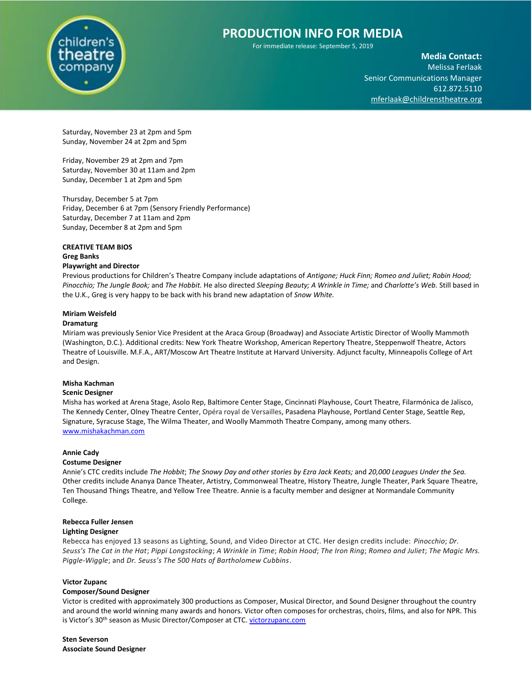

For immediate release: September 5, 2019

**Media Contact:**  Melissa Ferlaak Senior Communications Manager 612.872.5110 [mferlaak@childrenstheatre.org](mailto:mferlaak@childrenstheatre.org)

Saturday, November 23 at 2pm and 5pm Sunday, November 24 at 2pm and 5pm

Friday, November 29 at 2pm and 7pm Saturday, November 30 at 11am and 2pm Sunday, December 1 at 2pm and 5pm

Thursday, December 5 at 7pm Friday, December 6 at 7pm (Sensory Friendly Performance) Saturday, December 7 at 11am and 2pm Sunday, December 8 at 2pm and 5pm

# **CREATIVE TEAM BIOS Greg Banks**

## **Playwright and Director**

Previous productions for Children's Theatre Company include adaptations of *Antigone; Huck Finn; Romeo and Juliet; Robin Hood; Pinocchio; The Jungle Book;* and *The Hobbit.* He also directed *Sleeping Beauty; A Wrinkle in Time;* and *Charlotte's Web.* Still based in the U.K., Greg is very happy to be back with his brand new adaptation of *Snow White.*

# **Miriam Weisfeld**

## **Dramaturg**

Miriam was previously Senior Vice President at the Araca Group (Broadway) and Associate Artistic Director of Woolly Mammoth (Washington, D.C.). Additional credits: New York Theatre Workshop, American Repertory Theatre, Steppenwolf Theatre, Actors Theatre of Louisville. M.F.A., ART/Moscow Art Theatre Institute at Harvard University. Adjunct faculty, Minneapolis College of Art and Design.

## **Misha Kachman**

#### **Scenic Designer**

Misha has worked at Arena Stage, Asolo Rep, Baltimore Center Stage, Cincinnati Playhouse, Court Theatre, Filarmónica de Jalisco, The Kennedy Center, Olney Theatre Center, Opéra royal de Versailles, Pasadena Playhouse, Portland Center Stage, Seattle Rep, Signature, Syracuse Stage, The Wilma Theater, and Woolly Mammoth Theatre Company, among many others. [www.mishakachman.com](http://www.mishakachman.com/)

#### **Annie Cady**

#### **Costume Designer**

Annie's CTC credits include *The Hobbit*; *The Snowy Day and other stories by Ezra Jack Keats;* and *20,000 Leagues Under the Sea.* Other credits include Ananya Dance Theater, Artistry, Commonweal Theatre, History Theatre, Jungle Theater, Park Square Theatre, Ten Thousand Things Theatre, and Yellow Tree Theatre. Annie is a faculty member and designer at Normandale Community College.

## **Rebecca Fuller Jensen**

## **Lighting Designer**

Rebecca has enjoyed 13 seasons as Lighting, Sound, and Video Director at CTC. Her design credits include: *Pinocchio*; *Dr. Seuss's The Cat in the Hat*; *Pippi Longstocking*; *A Wrinkle in Time*; *Robin Hood*; *The Iron Ring*; *Romeo and Juliet*; *The Magic Mrs. Piggle-Wiggle*; and *Dr. Seuss's The 500 Hats of Bartholomew Cubbins*.

#### **Victor Zupanc**

#### **Composer/Sound Designer**

Victor is credited with approximately 300 productions as Composer, Musical Director, and Sound Designer throughout the country and around the world winning many awards and honors. Victor often composes for orchestras, choirs, films, and also for NPR. This is Victor's 30<sup>th</sup> season as Music Director/Composer at CTC[. victorzupanc.com](http://victorzupanc.com/)

**Sten Severson Associate Sound Designer**